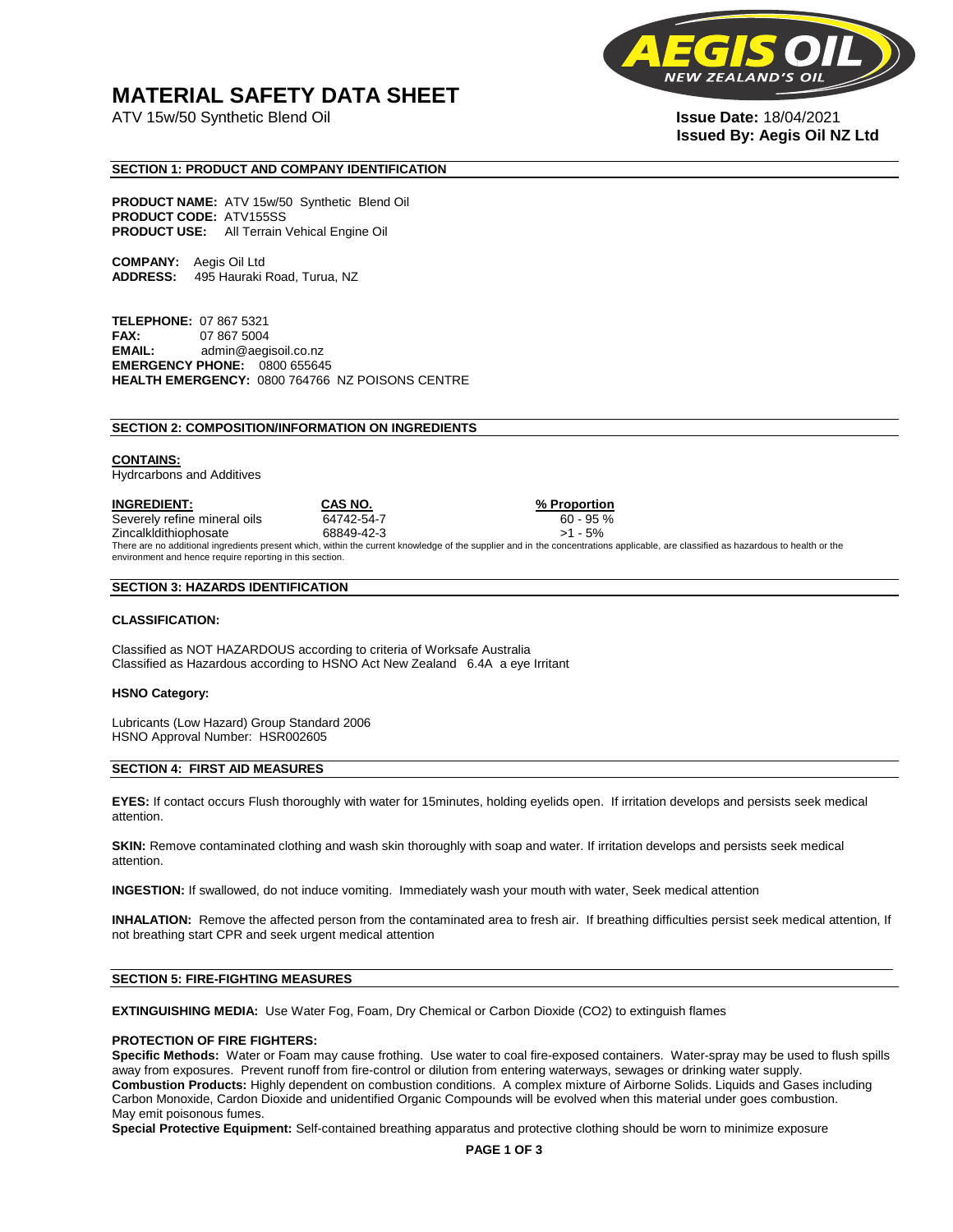# **MATERIAL SAFETY DATA SHEET**

ATV 15w/50 Synthetic Blend Oil **Issue Date:** 18/04/2021



# **Issued By: Aegis Oil NZ Ltd**

# **SECTION 1: PRODUCT AND COMPANY IDENTIFICATION**

**PRODUCT NAME:** ATV 15w/50 Synthetic Blend Oil **PRODUCT CODE:** ATV155SS **PRODUCT USE:** All Terrain Vehical Engine Oil

**COMPANY:** Aegis Oil Ltd **ADDRESS:** 495 Hauraki Road, Turua, NZ

**TELEPHONE:** 07 867 5321 **FAX:** 07 867 5004 **EMAIL:** admin@aegisoil.co.nz **EMERGENCY PHONE:** 0800 655645 **HEALTH EMERGENCY:** 0800 764766 NZ POISONS CENTRE

#### **SECTION 2: COMPOSITION/INFORMATION ON INGREDIENTS**

#### **CONTAINS:**

Hydrcarbons and Additives

**INGREDIENT: CAS NO. % Proportion**  Severely refine mineral oils 64742-54-7 60 - 95 % Zincalkldithiophosate 68849-42-3 >1 - 5% There are no additional ingredients present which, within the current knowledge of the supplier and in the concentrations applicable, are classified as hazardous to health or the environment and hence require reporting in this section.

#### **SECTION 3: HAZARDS IDENTIFICATION**

#### **CLASSIFICATION:**

Classified as NOT HAZARDOUS according to criteria of Worksafe Australia Classified as Hazardous according to HSNO Act New Zealand 6.4A a eye Irritant

#### **HSNO Category:**

Lubricants (Low Hazard) Group Standard 2006 HSNO Approval Number: HSR002605

#### **SECTION 4: FIRST AID MEASURES**

**EYES:** If contact occurs Flush thoroughly with water for 15minutes, holding eyelids open. If irritation develops and persists seek medical attention.

**SKIN:** Remove contaminated clothing and wash skin thoroughly with soap and water. If irritation develops and persists seek medical attention.

**INGESTION:** If swallowed, do not induce vomiting. Immediately wash your mouth with water, Seek medical attention

**INHALATION:** Remove the affected person from the contaminated area to fresh air. If breathing difficulties persist seek medical attention, If not breathing start CPR and seek urgent medical attention

# **SECTION 5: FIRE-FIGHTING MEASURES**

**EXTINGUISHING MEDIA:** Use Water Fog, Foam, Dry Chemical or Carbon Dioxide (CO2) to extinguish flames

# **PROTECTION OF FIRE FIGHTERS:**

**Specific Methods:** Water or Foam may cause frothing. Use water to coal fire-exposed containers. Water-spray may be used to flush spills away from exposures. Prevent runoff from fire-control or dilution from entering waterways, sewages or drinking water supply. **Combustion Products:** Highly dependent on combustion conditions. A complex mixture of Airborne Solids. Liquids and Gases including Carbon Monoxide, Cardon Dioxide and unidentified Organic Compounds will be evolved when this material under goes combustion. May emit poisonous fumes.

**Special Protective Equipment:** Self-contained breathing apparatus and protective clothing should be worn to minimize exposure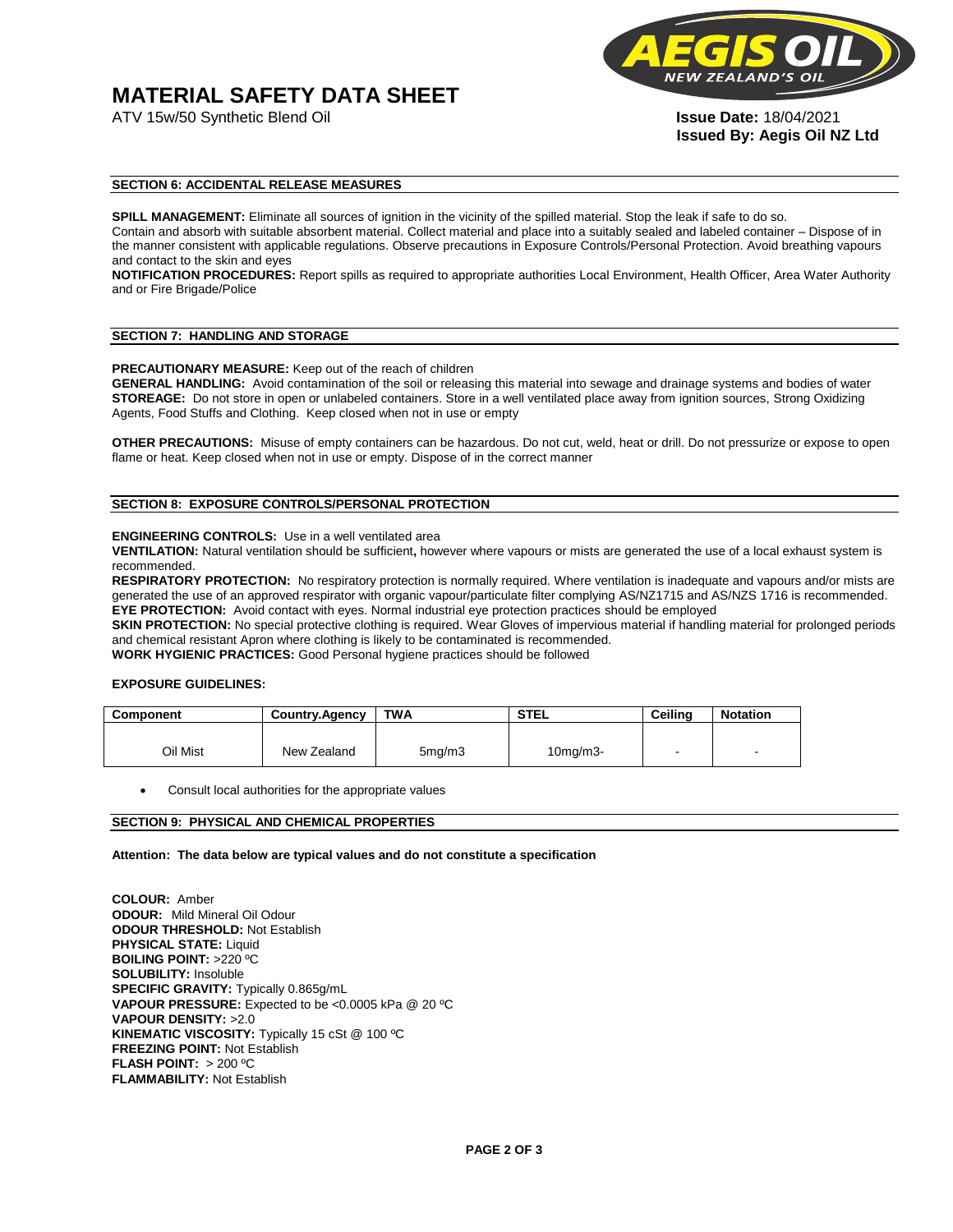# **MATERIAL SAFETY DATA SHEET**



**Issued By: Aegis Oil NZ Ltd** 

# **SECTION 6: ACCIDENTAL RELEASE MEASURES**

**SPILL MANAGEMENT:** Eliminate all sources of ignition in the vicinity of the spilled material. Stop the leak if safe to do so. Contain and absorb with suitable absorbent material. Collect material and place into a suitably sealed and labeled container – Dispose of in the manner consistent with applicable regulations. Observe precautions in Exposure Controls/Personal Protection. Avoid breathing vapours and contact to the skin and eyes

**NOTIFICATION PROCEDURES:** Report spills as required to appropriate authorities Local Environment, Health Officer, Area Water Authority and or Fire Brigade/Police

#### **SECTION 7: HANDLING AND STORAGE**

**PRECAUTIONARY MEASURE:** Keep out of the reach of children

**GENERAL HANDLING:** Avoid contamination of the soil or releasing this material into sewage and drainage systems and bodies of water **STOREAGE:** Do not store in open or unlabeled containers. Store in a well ventilated place away from ignition sources, Strong Oxidizing Agents, Food Stuffs and Clothing. Keep closed when not in use or empty

**OTHER PRECAUTIONS:** Misuse of empty containers can be hazardous. Do not cut, weld, heat or drill. Do not pressurize or expose to open flame or heat. Keep closed when not in use or empty. Dispose of in the correct manner

# **SECTION 8: EXPOSURE CONTROLS/PERSONAL PROTECTION**

#### **ENGINEERING CONTROLS:** Use in a well ventilated area

**VENTILATION:** Natural ventilation should be sufficient**,** however where vapours or mists are generated the use of a local exhaust system is recommended.

**RESPIRATORY PROTECTION:** No respiratory protection is normally required. Where ventilation is inadequate and vapours and/or mists are generated the use of an approved respirator with organic vapour/particulate filter complying AS/NZ1715 and AS/NZS 1716 is recommended. **EYE PROTECTION:** Avoid contact with eyes. Normal industrial eye protection practices should be employed

**SKIN PROTECTION:** No special protective clothing is required. Wear Gloves of impervious material if handling material for prolonged periods and chemical resistant Apron where clothing is likely to be contaminated is recommended.

**WORK HYGIENIC PRACTICES:** Good Personal hygiene practices should be followed

# **EXPOSURE GUIDELINES:**

| <b>Component</b> | <b>Country.Agency</b> | <b>TWA</b>          | <b>STEL</b>    | Ceilina | <b>Notation</b>          |
|------------------|-----------------------|---------------------|----------------|---------|--------------------------|
|                  |                       |                     |                |         |                          |
| Oil Mist         | New Zealand           | 5 <sub>mq</sub> /m3 | $10$ mg/m $3-$ |         | $\overline{\phantom{a}}$ |

Consult local authorities for the appropriate values

# **SECTION 9: PHYSICAL AND CHEMICAL PROPERTIES**

**Attention: The data below are typical values and do not constitute a specification** 

**COLOUR:** Amber **ODOUR:** Mild Mineral Oil Odour **ODOUR THRESHOLD:** Not Establish **PHYSICAL STATE:** Liquid **BOILING POINT:** >220 ºC **SOLUBILITY:** Insoluble **SPECIFIC GRAVITY:** Typically 0.865g/mL **VAPOUR PRESSURE:** Expected to be <0.0005 kPa @ 20 ºC **VAPOUR DENSITY:** >2.0 **KINEMATIC VISCOSITY:** Typically 15 cSt @ 100 ºC **FREEZING POINT: Not Establish FLASH POINT:** > 200 ºC **FLAMMABILITY:** Not Establish